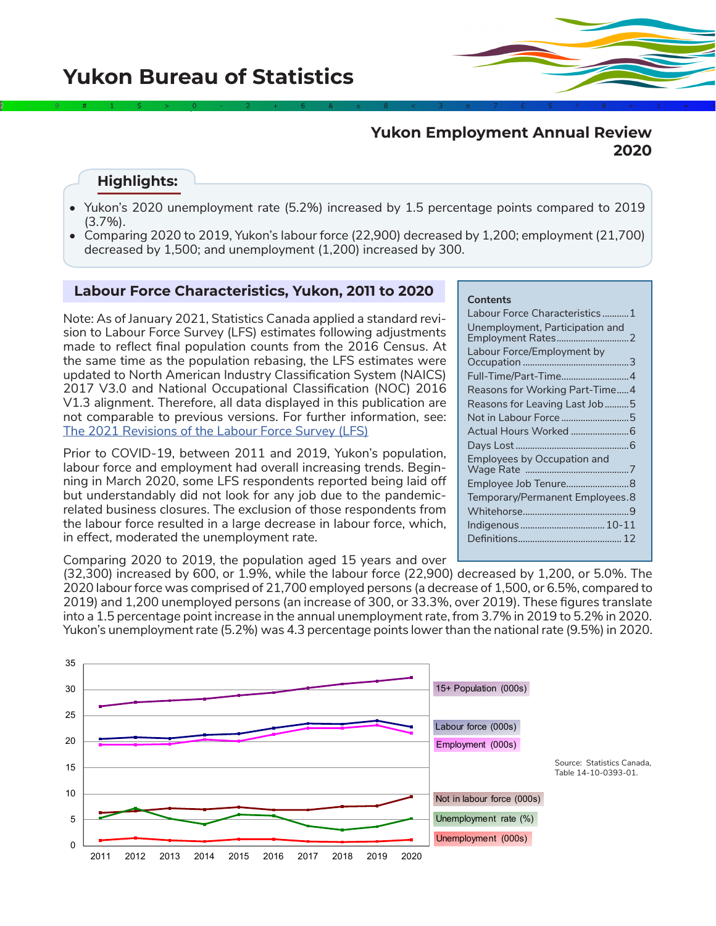# **Yukon Employment Annual Review 2020**

### **Highlights:**

• Yukon's 2020 unemployment rate (5.2%) increased by 1.5 percentage points compared to 2019 (3.7%).

2÷9#1\$>0-2+6&±8<3π7£5‡9≈1∞^

• Comparing 2020 to 2019, Yukon's labour force (22,900) decreased by 1,200; employment (21,700) decreased by 1,500; and unemployment (1,200) increased by 300.

### **Labour Force Characteristics, Yukon, 2011 to 2020**

Note: As of January 2021, Statistics Canada applied a standard revision to Labour Force Survey (LFS) estimates following adjustments made to reflect final population counts from the 2016 Census. At the same time as the population rebasing, the LFS estimates were updated to North American Industry Classification System (NAICS) 2017 V3.0 and National Occupational Classification (NOC) 2016 V1.3 alignment. Therefore, all data displayed in this publication are not comparable to previous versions. For further information, see: [The 2021 Revisions of the Labour Force Survey \(LFS\)](https://www150.statcan.gc.ca/pub/71f0031x/71f0031x2021001-eng.pdf)

Prior to COVID-19, between 2011 and 2019, Yukon's population, labour force and employment had overall increasing trends. Beginning in March 2020, some LFS respondents reported being laid off but understandably did not look for any job due to the pandemicrelated business closures. The exclusion of those respondents from the labour force resulted in a large decrease in labour force, which, in effect, moderated the unemployment rate.

Comparing 2020 to 2019, the population aged 15 years and over

### **Contents**

| Labour Force Characteristics1      |
|------------------------------------|
| Unemployment, Participation and    |
| Labour Force/Employment by         |
| Full-Time/Part-Time4               |
| Reasons for Working Part-Time4     |
| Reasons for Leaving Last Job5      |
| Not in Labour Force 5              |
|                                    |
|                                    |
| <b>Employees by Occupation and</b> |
|                                    |
| Temporary/Permanent Employees.8    |
|                                    |
| Indigenous  10-11                  |
|                                    |
|                                    |

(32,300) increased by 600, or 1.9%, while the labour force (22,900) decreased by 1,200, or 5.0%. The 2020 labour force was comprised of 21,700 employed persons (a decrease of 1,500, or 6.5%, compared to 2019) and 1,200 unemployed persons (an increase of 300, or 33.3%, over 2019). These figures translate into a 1.5 percentage point increase in the annual unemployment rate, from 3.7% in 2019 to 5.2% in 2020. Yukon's unemployment rate (5.2%) was 4.3 percentage points lower than the national rate (9.5%) in 2020.

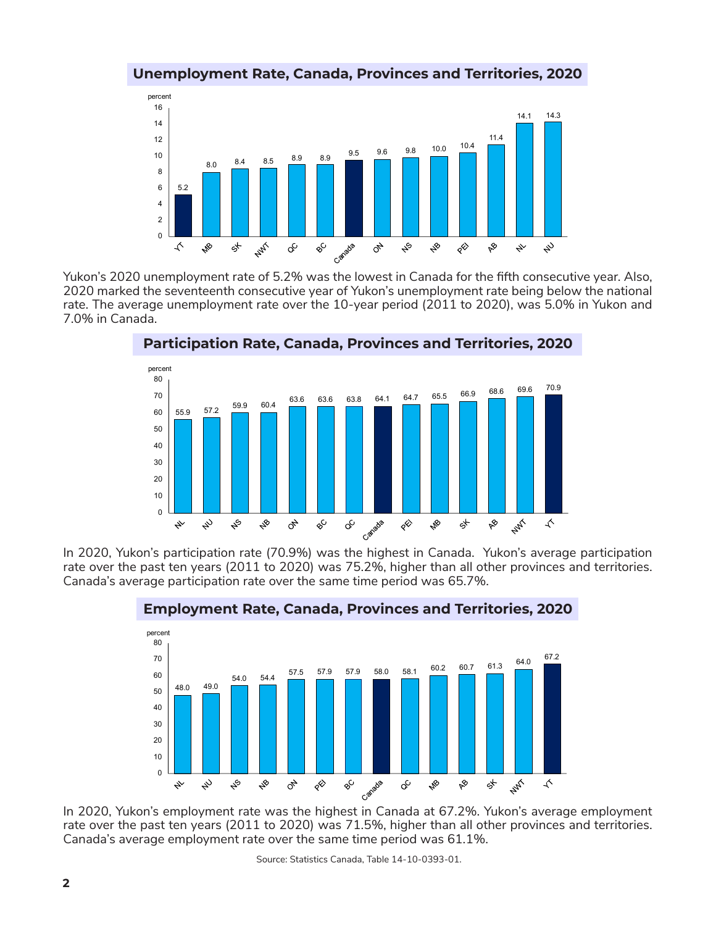



Yukon's 2020 unemployment rate of 5.2% was the lowest in Canada for the fifth consecutive year. Also, 2020 marked the seventeenth consecutive year of Yukon's unemployment rate being below the national rate. The average unemployment rate over the 10-year period (2011 to 2020), was 5.0% in Yukon and 7.0% in Canada.



**Participation Rate, Canada, Provinces and Territories, 2020**

In 2020, Yukon's participation rate (70.9%) was the highest in Canada. Yukon's average participation rate over the past ten years (2011 to 2020) was 75.2%, higher than all other provinces and territories. Canada's average participation rate over the same time period was 65.7%.



### **Employment Rate, Canada, Provinces and Territories, 2020**

In 2020, Yukon's employment rate was the highest in Canada at 67.2%. Yukon's average employment rate over the past ten years (2011 to 2020) was 71.5%, higher than all other provinces and territories. Canada's average employment rate over the same time period was 61.1%.

Source: Statistics Canada, Table 14-10-0393-01.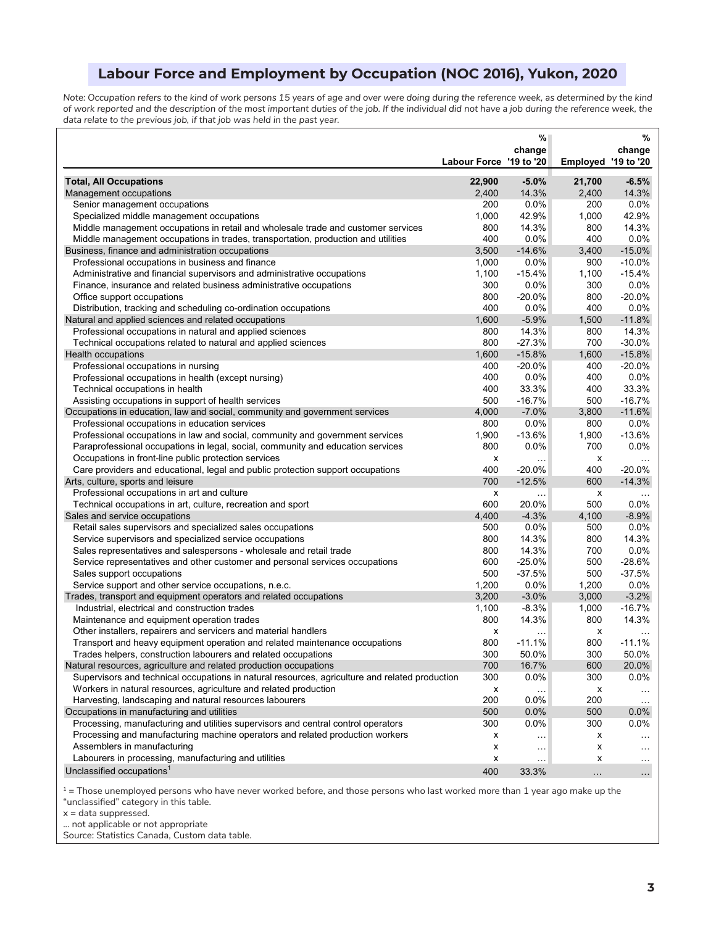# **Labour Force and Employment by Occupation (NOC 2016), Yukon, 2020**

*Note: Occupation refers to the kind of work persons 15 years of age and over were doing during the reference week, as determined by the kind of work reported and the description of the most important duties of the job. If the individual did not have a job during the reference week, the data relate to the previous job, if that job was held in the past year.*

|                                                                                                |                         | %             |                     | %                    |
|------------------------------------------------------------------------------------------------|-------------------------|---------------|---------------------|----------------------|
|                                                                                                |                         | change        |                     | change               |
|                                                                                                | Labour Force '19 to '20 |               | Employed '19 to '20 |                      |
| <b>Total, All Occupations</b>                                                                  | 22,900                  | $-5.0%$       | 21,700              | $-6.5%$              |
| Management occupations                                                                         | 2,400                   | 14.3%         | 2,400               | 14.3%                |
| Senior management occupations                                                                  | 200                     | 0.0%          | 200                 | 0.0%                 |
| Specialized middle management occupations                                                      | 1,000                   | 42.9%         | 1,000               | 42.9%                |
| Middle management occupations in retail and wholesale trade and customer services              | 800                     | 14.3%         | 800                 | 14.3%                |
| Middle management occupations in trades, transportation, production and utilities              | 400                     | 0.0%          | 400                 | 0.0%                 |
| Business, finance and administration occupations                                               | 3,500                   | $-14.6%$      | 3,400               | $-15.0%$             |
| Professional occupations in business and finance                                               | 1,000                   | 0.0%          | 900                 | $-10.0%$             |
| Administrative and financial supervisors and administrative occupations                        | 1,100                   | $-15.4%$      | 1,100               | $-15.4%$             |
| Finance, insurance and related business administrative occupations                             | 300                     | 0.0%          | 300                 | 0.0%                 |
| Office support occupations                                                                     | 800                     | $-20.0%$      | 800                 | $-20.0%$             |
| Distribution, tracking and scheduling co-ordination occupations                                | 400                     | 0.0%          | 400                 | 0.0%                 |
| Natural and applied sciences and related occupations                                           | 1,600                   | $-5.9%$       | 1,500               | $-11.8%$             |
| Professional occupations in natural and applied sciences                                       | 800                     | 14.3%         | 800                 | 14.3%                |
| Technical occupations related to natural and applied sciences                                  | 800                     | $-27.3%$      | 700                 | $-30.0%$             |
| Health occupations                                                                             | 1,600                   | $-15.8%$      | 1,600               | $-15.8%$             |
| Professional occupations in nursing                                                            | 400                     | $-20.0%$      | 400                 | $-20.0\%$            |
| Professional occupations in health (except nursing)                                            | 400                     | 0.0%          | 400                 | 0.0%                 |
| Technical occupations in health                                                                | 400                     | 33.3%         | 400                 | 33.3%                |
| Assisting occupations in support of health services                                            | 500                     | $-16.7%$      | 500                 | $-16.7%$             |
| Occupations in education, law and social, community and government services                    | 4,000                   | $-7.0%$       | 3,800               | $-11.6%$             |
| Professional occupations in education services                                                 | 800                     | 0.0%          | 800                 | 0.0%                 |
| Professional occupations in law and social, community and government services                  | 1,900                   | $-13.6%$      | 1,900               | $-13.6%$             |
| Paraprofessional occupations in legal, social, community and education services                | 800                     | 0.0%          | 700                 | 0.0%                 |
| Occupations in front-line public protection services                                           | х                       | .             | х                   | $\ldots$             |
| Care providers and educational, legal and public protection support occupations                | 400                     | $-20.0%$      | 400                 | $-20.0%$             |
| Arts, culture, sports and leisure                                                              | 700                     | $-12.5%$      | 600                 | $-14.3%$             |
| Professional occupations in art and culture                                                    | x                       | .             | х                   |                      |
| Technical occupations in art, culture, recreation and sport                                    | 600                     | 20.0%         | 500                 | $0.0\%$              |
| Sales and service occupations                                                                  | 4,400                   | $-4.3%$       | 4,100               | $-8.9\%$             |
| Retail sales supervisors and specialized sales occupations                                     | 500                     | 0.0%          | 500                 | $0.0\%$              |
| Service supervisors and specialized service occupations                                        | 800                     | 14.3%         | 800                 | 14.3%                |
| Sales representatives and salespersons - wholesale and retail trade                            | 800                     | 14.3%         | 700                 | 0.0%                 |
| Service representatives and other customer and personal services occupations                   | 600                     | $-25.0%$      | 500                 | $-28.6%$             |
| Sales support occupations                                                                      | 500                     | $-37.5%$      | 500                 | $-37.5%$             |
| Service support and other service occupations, n.e.c.                                          | 1,200                   | 0.0%          | 1,200               | 0.0%                 |
| Trades, transport and equipment operators and related occupations                              | 3,200                   | $-3.0%$       | 3,000               | $-3.2%$              |
| Industrial, electrical and construction trades                                                 | 1,100                   | $-8.3%$       | 1,000               | $-16.7%$             |
| Maintenance and equipment operation trades                                                     | 800                     | 14.3%         | 800                 | 14.3%                |
| Other installers, repairers and servicers and material handlers                                | x                       | .             | х                   |                      |
| Transport and heavy equipment operation and related maintenance occupations                    | 800                     | $-11.1%$      | 800                 | $-11.1%$             |
| Trades helpers, construction labourers and related occupations                                 | 300                     | 50.0%         | 300                 | 50.0%                |
| Natural resources, agriculture and related production occupations                              | 700                     | 16.7%         | 600                 | 20.0%                |
| Supervisors and technical occupations in natural resources, agriculture and related production | 300                     | 0.0%          | 300                 | $0.0\%$              |
| Workers in natural resources, agriculture and related production                               | х                       | .             | х                   | $\ldots$             |
| Harvesting, landscaping and natural resources labourers                                        | 200                     | 0.0%          | 200                 | $\sim$               |
| Occupations in manufacturing and utilities                                                     | 500                     | 0.0%          | 500                 | $0.0\%$              |
| Processing, manufacturing and utilities supervisors and central control operators              | 300                     | 0.0%          | 300                 | $0.0\%$              |
| Processing and manufacturing machine operators and related production workers                  | х                       | $\ddotsc$     | x                   | $\sim$               |
| Assemblers in manufacturing                                                                    | x                       | $\sim$ $\sim$ | х                   | $\sim$               |
| Labourers in processing, manufacturing and utilities                                           | х                       | .             | х                   | $\sim$ $\sim$ $\sim$ |
| Unclassified occupations <sup>1</sup>                                                          | 400                     | 33.3%         |                     | $\ldots$             |
|                                                                                                |                         |               | $\sim$ .            |                      |

 $1$  = Those unemployed persons who have never worked before, and those persons who last worked more than 1 year ago make up the "unclassified" category in this table.

x = data suppressed.

... not applicable or not appropriate

Source: Statistics Canada, Custom data table.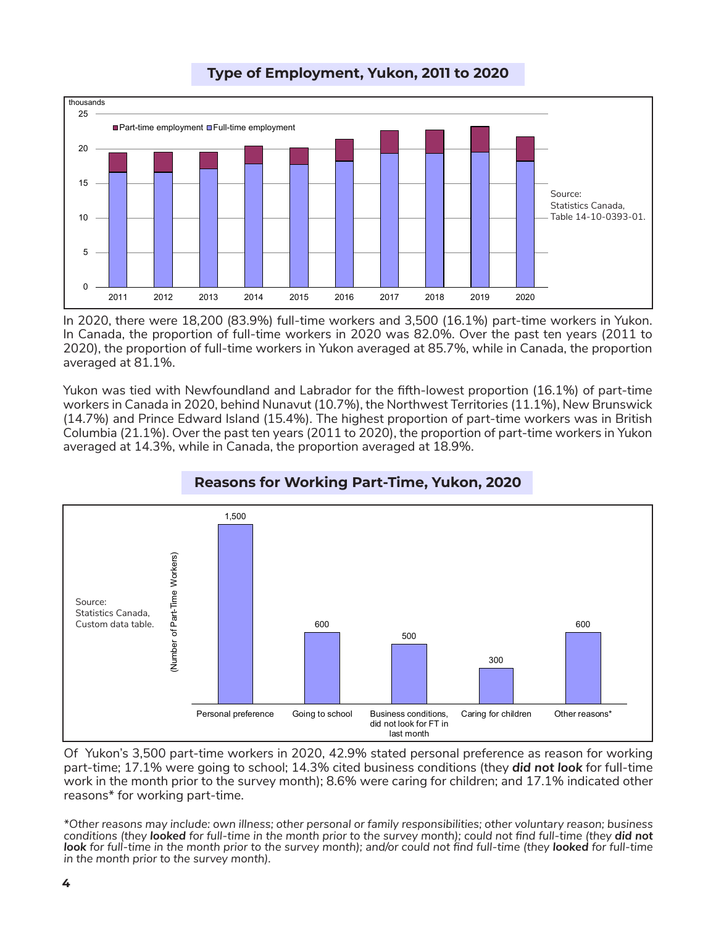

# **Type of Employment, Yukon, 2011 to 2020**

In 2020, there were 18,200 (83.9%) full-time workers and 3,500 (16.1%) part-time workers in Yukon. In Canada, the proportion of full-time workers in 2020 was 82.0%. Over the past ten years (2011 to 2020), the proportion of full-time workers in Yukon averaged at 85.7%, while in Canada, the proportion averaged at 81.1%.

Yukon was tied with Newfoundland and Labrador for the fifth-lowest proportion (16.1%) of part-time workers in Canada in 2020, behind Nunavut (10.7%), the Northwest Territories (11.1%), New Brunswick (14.7%) and Prince Edward Island (15.4%). The highest proportion of part-time workers was in British Columbia (21.1%). Over the past ten years (2011 to 2020), the proportion of part-time workers in Yukon averaged at 14.3%, while in Canada, the proportion averaged at 18.9%.



# **Reasons for Working Part-Time, Yukon, 2020**

Of Yukon's 3,500 part-time workers in 2020, 42.9% stated personal preference as reason for working part-time; 17.1% were going to school; 14.3% cited business conditions (they *did not look* for full-time work in the month prior to the survey month); 8.6% were caring for children; and 17.1% indicated other reasons\* for working part-time.

*\*Other reasons may include: own illness; other personal or family responsibilities; other voluntary reason; business*  conditions (they looked for full-time in the month prior to the survey month); could not find full-time (they did not look for full-time in the month prior to the survey month); and/or could not find full-time (they looked for full-time *in the month prior to the survey month).*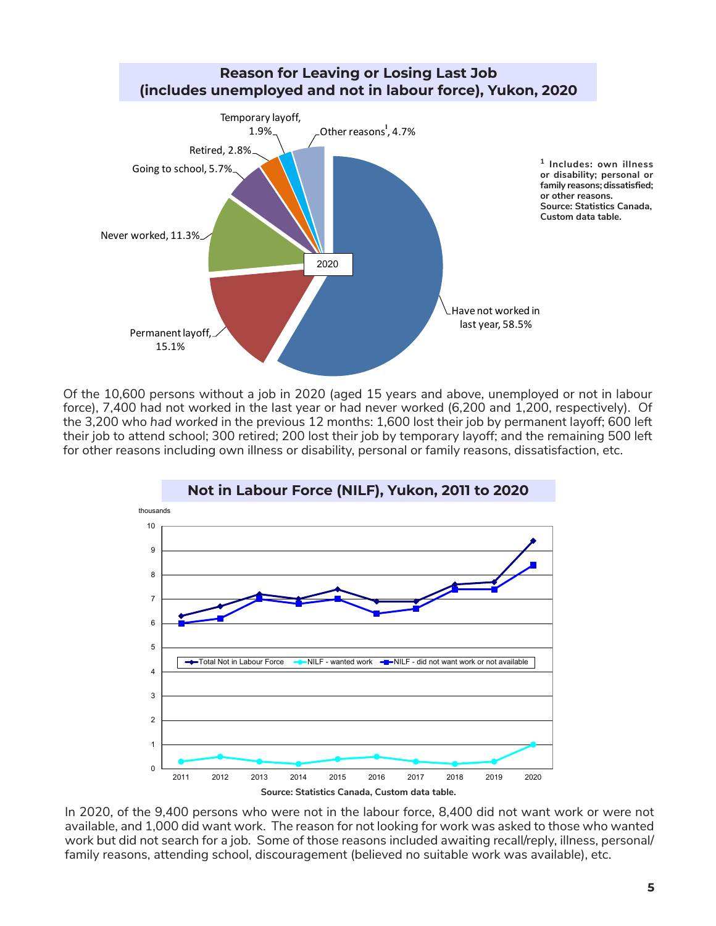

Of the 10,600 persons without a job in 2020 (aged 15 years and above, unemployed or not in labour force), 7,400 had not worked in the last year or had never worked (6,200 and 1,200, respectively). Of the 3,200 who *had worked* in the previous 12 months: 1,600 lost their job by permanent layoff; 600 left their job to attend school; 300 retired; 200 lost their job by temporary layoff; and the remaining 500 left for other reasons including own illness or disability, personal or family reasons, dissatisfaction, etc.



In 2020, of the 9,400 persons who were not in the labour force, 8,400 did not want work or were not available, and 1,000 did want work. The reason for not looking for work was asked to those who wanted work but did not search for a job. Some of those reasons included awaiting recall/reply, illness, personal/ family reasons, attending school, discouragement (believed no suitable work was available), etc.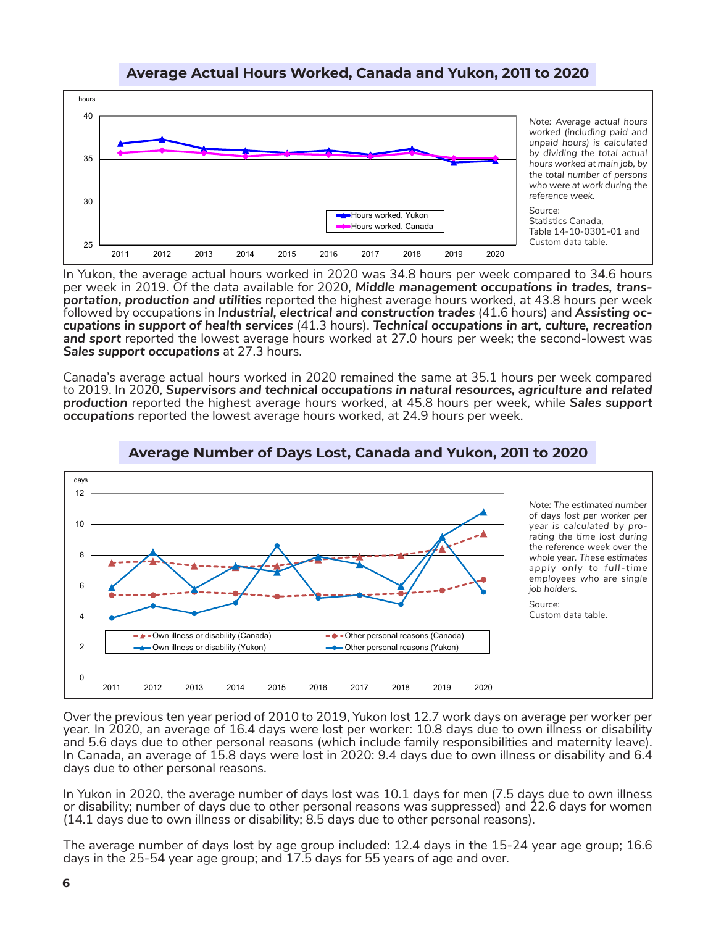## **Average Actual Hours Worked, Canada and Yukon, 2011 to 2020**



In Yukon, the average actual hours worked in 2020 was 34.8 hours per week compared to 34.6 hours per week in 2019. Of the data available for 2020, *Middle management occupations in trades, transportation, production and utilities* reported the highest average hours worked, at 43.8 hours per week cupations in support of health services (41.3 hours). Technical occupations in art, culture, recreation *and sport* reported the lowest average hours worked at 27.0 hours per week; the second-lowest was *Sales support occupations* at 27.3 hours.

Canada's average actual hours worked in 2020 remained the same at 35.1 hours per week compared to 2019. In 2020, *Supervisors and technical occupations in natural resources, agriculture and related production* reported the highest average hours worked, at 45.8 hours per week, while *Sales support occupations* reported the lowest average hours worked, at 24.9 hours per week.



## **Average Number of Days Lost, Canada and Yukon, 2011 to 2020**

Over the previous ten year period of 2010 to 2019, Yukon lost 12.7 work days on average per worker per year. In 2020, an average of 16.4 days were lost per worker: 10.8 days due to own illness or disability and 5.6 days due to other personal reasons (which include family responsibilities and maternity leave). In Canada, an average of 15.8 days were lost in 2020: 9.4 days due to own illness or disability and 6.4 days due to other personal reasons.

In Yukon in 2020, the average number of days lost was 10.1 days for men (7.5 days due to own illness or disability; number of days due to other personal reasons was suppressed) and 22.6 days for women (14.1 days due to own illness or disability; 8.5 days due to other personal reasons).

The average number of days lost by age group included: 12.4 days in the 15-24 year age group; 16.6 days in the 25-54 year age group; and 17.5 days for 55 years of age and over.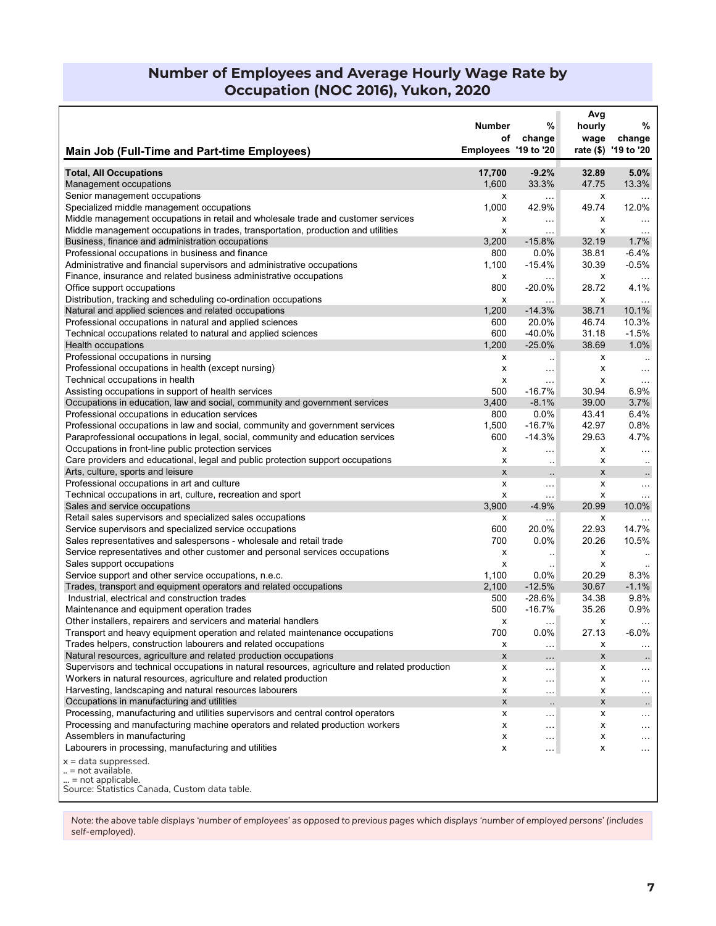# **Number of Employees and Average Hourly Wage Rate by Occupation (NOC 2016), Yukon, 2020**

|                                                                                                                                 | Number                             | %                             | Avg            | %                      |
|---------------------------------------------------------------------------------------------------------------------------------|------------------------------------|-------------------------------|----------------|------------------------|
|                                                                                                                                 | οf                                 | change                        | hourly<br>wage | change                 |
| Main Job (Full-Time and Part-time Employees)                                                                                    | Employees '19 to '20               |                               |                | rate (\$) '19 to '20   |
| <b>Total, All Occupations</b>                                                                                                   | 17,700                             | $-9.2%$                       | 32.89          | 5.0%                   |
| Management occupations                                                                                                          | 1,600                              | 33.3%                         | 47.75          | 13.3%                  |
| Senior management occupations                                                                                                   | х                                  | $\cdots$                      | х              | $\ddotsc$              |
| Specialized middle management occupations                                                                                       | 1,000                              | 42.9%                         | 49.74          | 12.0%                  |
| Middle management occupations in retail and wholesale trade and customer services                                               | х                                  | $\mathcal{L}_{\mathcal{A}}$ . | х              | $\sim 10$              |
| Middle management occupations in trades, transportation, production and utilities                                               | x                                  | $\ddotsc$                     | х              | $\sim$ .               |
| Business, finance and administration occupations                                                                                | 3,200                              | $-15.8%$                      | 32.19          | $1.7\%$                |
| Professional occupations in business and finance                                                                                | 800                                | $0.0\%$                       | 38.81          | $-6.4%$                |
| Administrative and financial supervisors and administrative occupations                                                         | 1,100                              | $-15.4%$                      | 30.39          | $-0.5%$                |
| Finance, insurance and related business administrative occupations                                                              | х                                  |                               | x              | $\sim$ $\sim$          |
| Office support occupations<br>Distribution, tracking and scheduling co-ordination occupations                                   | 800                                | $-20.0\%$                     | 28.72          | 4.1%                   |
| Natural and applied sciences and related occupations                                                                            | $\boldsymbol{\mathsf{x}}$<br>1,200 | .<br>$-14.3%$                 | х<br>38.71     | $\ldots$<br>10.1%      |
| Professional occupations in natural and applied sciences                                                                        | 600                                | 20.0%                         | 46.74          | 10.3%                  |
| Technical occupations related to natural and applied sciences                                                                   | 600                                | -40.0%                        | 31.18          | $-1.5%$                |
| Health occupations                                                                                                              | 1,200                              | $-25.0%$                      | 38.69          | $1.0\%$                |
| Professional occupations in nursing                                                                                             | х                                  | $\ddotsc$                     | х              | $\ddotsc$              |
| Professional occupations in health (except nursing)                                                                             | x                                  |                               | х              | $\sim$                 |
| Technical occupations in health                                                                                                 | x                                  | $\ddotsc$                     | х              | $\sim$                 |
| Assisting occupations in support of health services                                                                             | 500                                | $-16.7%$                      | 30.94          | 6.9%                   |
| Occupations in education, law and social, community and government services                                                     | 3,400                              | $-8.1%$                       | 39.00          | 3.7%                   |
| Professional occupations in education services                                                                                  | 800                                | 0.0%                          | 43.41          | 6.4%                   |
| Professional occupations in law and social, community and government services                                                   | 1,500                              | $-16.7%$                      | 42.97          | 0.8%                   |
| Paraprofessional occupations in legal, social, community and education services                                                 | 600                                | $-14.3%$                      | 29.63          | 4.7%                   |
| Occupations in front-line public protection services                                                                            | x                                  |                               | х              | $\sim$ $\sim$          |
| Care providers and educational, legal and public protection support occupations                                                 | x                                  | $\ddotsc$                     | х              | $\ddotsc$              |
| Arts, culture, sports and leisure                                                                                               | $\pmb{\times}$                     | $\ddotsc$                     | X              | $\cdot\cdot$           |
| Professional occupations in art and culture                                                                                     | X                                  | $\ddotsc$                     | х              | $\sim$ .               |
| Technical occupations in art, culture, recreation and sport<br>Sales and service occupations                                    | X<br>3,900                         | $\ddotsc$<br>$-4.9%$          | х<br>20.99     | $\sim$ $\sim$<br>10.0% |
| Retail sales supervisors and specialized sales occupations                                                                      | х                                  | $\ddotsc$                     | х              |                        |
| Service supervisors and specialized service occupations                                                                         | 600                                | 20.0%                         | 22.93          | $\ldots$<br>14.7%      |
| Sales representatives and salespersons - wholesale and retail trade                                                             | 700                                | $0.0\%$                       | 20.26          | 10.5%                  |
| Service representatives and other customer and personal services occupations                                                    | х                                  | $\ddot{\phantom{a}}$          | х              |                        |
| Sales support occupations                                                                                                       | X                                  | $\ddotsc$                     | х              |                        |
| Service support and other service occupations, n.e.c.                                                                           | 1,100                              | $0.0\%$                       | 20.29          | 8.3%                   |
| Trades, transport and equipment operators and related occupations                                                               | 2,100                              | $-12.5%$                      | 30.67          | $-1.1%$                |
| Industrial, electrical and construction trades                                                                                  | 500                                | $-28.6%$                      | 34.38          | 9.8%                   |
| Maintenance and equipment operation trades                                                                                      | 500                                | $-16.7%$                      | 35.26          | 0.9%                   |
| Other installers, repairers and servicers and material handlers                                                                 | х                                  | $\ddotsc$                     | х              | $\sim$ $\sim$ $\sim$   |
| Transport and heavy equipment operation and related maintenance occupations                                                     | 700                                | 0.0%                          | 27.13          | $-6.0%$                |
| Trades helpers, construction labourers and related occupations                                                                  | х                                  | $\ldots$                      | х              | $\ldots$               |
| Natural resources, agriculture and related production occupations                                                               | x                                  | $\ldots$                      | X              | $\cdot$ .              |
| Supervisors and technical occupations in natural resources, agriculture and related production                                  | x                                  | $\cdots$                      | х              | $\ldots$               |
| Workers in natural resources, agriculture and related production                                                                | x                                  | $\ldots$                      | х              | $\sim$ $\sim$ $\sim$   |
| Harvesting, landscaping and natural resources labourers                                                                         | х                                  | $\cdots$                      | х              | $\cdots$               |
| Occupations in manufacturing and utilities<br>Processing, manufacturing and utilities supervisors and central control operators | x                                  | $\ddotsc$                     | x              | $\cdot\cdot$           |
| Processing and manufacturing machine operators and related production workers                                                   | x<br>x                             | $\sim$ $\sim$                 | х              | $\sim$ $\sim$ $\sim$   |
| Assemblers in manufacturing                                                                                                     | x                                  | $\sim$ $\sim$                 | х<br>х         | $\sim$ $\sim$ $\sim$   |
| Labourers in processing, manufacturing and utilities                                                                            | x                                  | $\sim$ $\sim$<br>$\ddotsc$    | х              | $\cdots$<br>$\cdots$   |
| $x =$ data suppressed.                                                                                                          |                                    |                               |                |                        |
| = not available.                                                                                                                |                                    |                               |                |                        |
| = not applicable.                                                                                                               |                                    |                               |                |                        |
| Source: Statistics Canada, Custom data table.                                                                                   |                                    |                               |                |                        |

*Note: the above table displays 'number of employees' as opposed to previous pages which displays 'number of employed persons' (includes self-employed).*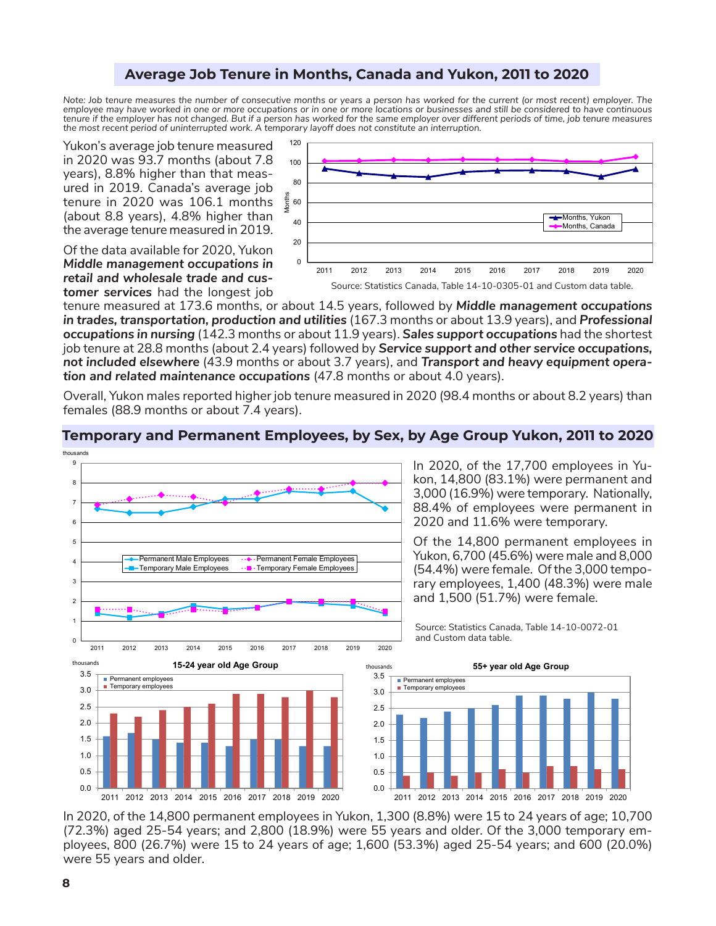## **Average Job Tenure in Months, Canada and Yukon, 2011 to 2020**

*Note: Job tenure measures the number of consecutive months or years a person has worked for the current (or most recent) employer. The employee may have worked in one or more occupations or in one or more locations or businesses and still be considered to have continuous*  tenure if the employer has not changed. But if a person has worked for the same employer over different periods of time, job tenure measures *the most recent period of uninterrupted work. A temporary layoff does not constitute an interruption.*

Yukon's average job tenure measured in 2020 was 93.7 months (about 7.8 years), 8.8% higher than that measured in 2019. Canada's average job tenure in 2020 was 106.1 months (about 8.8 years), 4.8% higher than the average tenure measured in 2019.

Of the data available for 2020, Yukon *Middle management occupations in retail and wholesale trade and customer services* had the longest job



tenure measured at 173.6 months, or about 14.5 years, followed by *Middle management occupations in trades, transportation, production and utilities* (167.3 months or about 13.9 years), and *Professional occupations in nursing* (142.3 months or about 11.9 years). *Sales support occupations* had the shortest job tenure at 28.8 months (about 2.4 years) followed by *Service support and other service occupations, not included elsewhere* (43.9 months or about 3.7 years), and *Transport and heavy equipment operation and related maintenance occupations* (47.8 months or about 4.0 years).

Overall, Yukon males reported higher job tenure measured in 2020 (98.4 months or about 8.2 years) than females (88.9 months or about 7.4 years).

# **Temporary and Permanent Employees, by Sex, by Age Group Yukon, 2011 to 2020**



In 2020, of the 17,700 employees in Yukon, 14,800 (83.1%) were permanent and 3,000 (16.9%) were temporary. Nationally, 88.4% of employees were permanent in 2020 and 11.6% were temporary.

Of the 14,800 permanent employees in Yukon, 6,700 (45.6%) were male and 8,000 (54.4%) were female. Of the 3,000 temporary employees, 1,400 (48.3%) were male and 1,500 (51.7%) were female*.* 

Source: Statistics Canada, Table 14-10-0072-01 and Custom data table.



In 2020, of the 14,800 permanent employees in Yukon, 1,300 (8.8%) were 15 to 24 years of age; 10,700 (72.3%) aged 25-54 years; and 2,800 (18.9%) were 55 years and older. Of the 3,000 temporary employees, 800 (26.7%) were 15 to 24 years of age; 1,600 (53.3%) aged 25-54 years; and 600 (20.0%) were 55 years and older.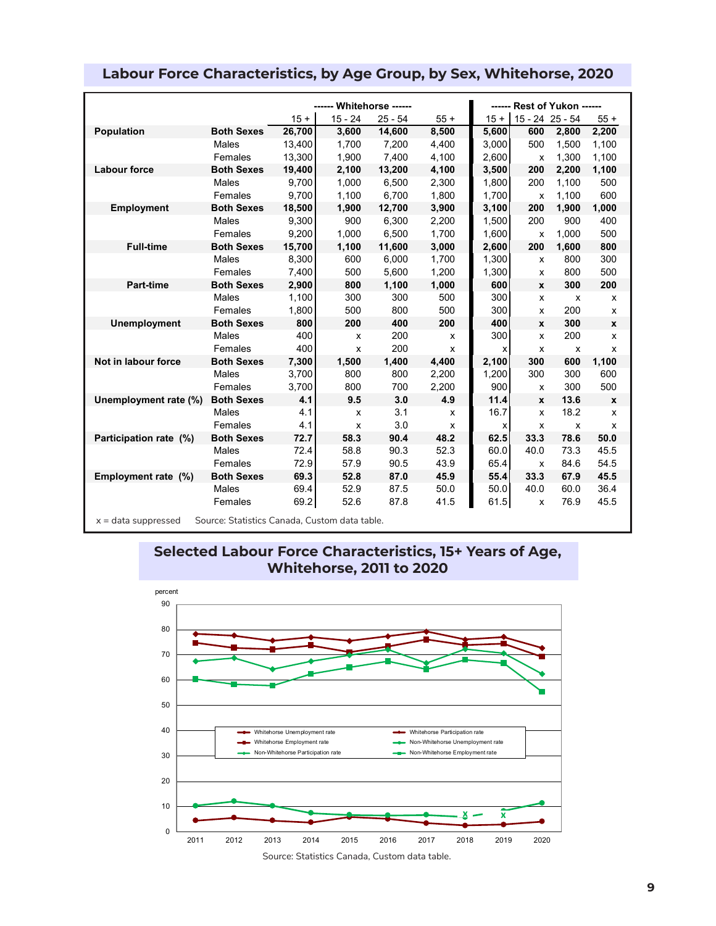|                                                                        |                   |        | ------ Whitehorse ------  |           |        |        |                 | ------ Rest of Yukon ------ |              |
|------------------------------------------------------------------------|-------------------|--------|---------------------------|-----------|--------|--------|-----------------|-----------------------------|--------------|
|                                                                        |                   | $15 +$ | $15 - 24$                 | $25 - 54$ | $55 +$ | $15 +$ | 15 - 24 25 - 54 |                             | $55+$        |
| <b>Population</b>                                                      | <b>Both Sexes</b> | 26,700 | 3,600                     | 14,600    | 8,500  | 5,600  | 600             | 2,800                       | 2,200        |
|                                                                        | Males             | 13,400 | 1,700                     | 7,200     | 4,400  | 3,000  | 500             | 1,500                       | 1,100        |
|                                                                        | Females           | 13,300 | 1,900                     | 7,400     | 4,100  | 2,600  | x               | 1,300                       | 1,100        |
| <b>Labour force</b>                                                    | <b>Both Sexes</b> | 19,400 | 2,100                     | 13,200    | 4,100  | 3,500  | 200             | 2,200                       | 1,100        |
|                                                                        | Males             | 9,700  | 1,000                     | 6,500     | 2,300  | 1,800  | 200             | 1,100                       | 500          |
|                                                                        | Females           | 9,700  | 1,100                     | 6,700     | 1,800  | 1,700  | X               | 1,100                       | 600          |
| <b>Employment</b>                                                      | <b>Both Sexes</b> | 18,500 | 1,900                     | 12,700    | 3,900  | 3,100  | 200             | 1,900                       | 1,000        |
|                                                                        | Males             | 9,300  | 900                       | 6,300     | 2,200  | 1,500  | 200             | 900                         | 400          |
|                                                                        | Females           | 9.200  | 1.000                     | 6,500     | 1,700  | 1.600  | X               | 1.000                       | 500          |
| <b>Full-time</b>                                                       | <b>Both Sexes</b> | 15,700 | 1,100                     | 11,600    | 3,000  | 2,600  | 200             | 1,600                       | 800          |
|                                                                        | Males             | 8,300  | 600                       | 6,000     | 1,700  | 1,300  | x               | 800                         | 300          |
|                                                                        | Females           | 7,400  | 500                       | 5,600     | 1,200  | 1,300  | x               | 800                         | 500          |
| <b>Part-time</b>                                                       | <b>Both Sexes</b> | 2,900  | 800                       | 1,100     | 1,000  | 600    | X               | 300                         | 200          |
|                                                                        | Males             | 1,100  | 300                       | 300       | 500    | 300    | x               | X                           | x            |
|                                                                        | Females           | 1,800  | 500                       | 800       | 500    | 300    | X               | 200                         | X            |
| <b>Unemployment</b>                                                    | <b>Both Sexes</b> | 800    | 200                       | 400       | 200    | 400    | $\mathbf{x}$    | 300                         | $\mathbf{x}$ |
|                                                                        | Males             | 400    | X                         | 200       | X      | 300    | x               | 200                         | X            |
|                                                                        | Females           | 400    | X                         | 200       | x      | X      | x               | X                           | X            |
| Not in labour force                                                    | <b>Both Sexes</b> | 7,300  | 1,500                     | 1,400     | 4,400  | 2,100  | 300             | 600                         | 1,100        |
|                                                                        | Males             | 3,700  | 800                       | 800       | 2,200  | 1,200  | 300             | 300                         | 600          |
|                                                                        | Females           | 3,700  | 800                       | 700       | 2,200  | 900    | x               | 300                         | 500          |
| Unemployment rate (%)                                                  | <b>Both Sexes</b> | 4.1    | 9.5                       | 3.0       | 4.9    | 11.4   | X               | 13.6                        | X            |
|                                                                        | Males             | 4.1    | $\boldsymbol{\mathsf{x}}$ | 3.1       | X      | 16.7   | x               | 18.2                        | X            |
|                                                                        | Females           | 4.1    | X                         | 3.0       | x      | х      | х               | х                           | x            |
| Participation rate (%)                                                 | <b>Both Sexes</b> | 72.7   | 58.3                      | 90.4      | 48.2   | 62.5   | 33.3            | 78.6                        | 50.0         |
|                                                                        | Males             | 72.4   | 58.8                      | 90.3      | 52.3   | 60.0   | 40.0            | 73.3                        | 45.5         |
|                                                                        | Females           | 72.9   | 57.9                      | 90.5      | 43.9   | 65.4   | x               | 84.6                        | 54.5         |
| Employment rate (%)                                                    | <b>Both Sexes</b> | 69.3   | 52.8                      | 87.0      | 45.9   | 55.4   | 33.3            | 67.9                        | 45.5         |
|                                                                        | Males             | 69.4   | 52.9                      | 87.5      | 50.0   | 50.0   | 40.0            | 60.0                        | 36.4         |
|                                                                        | Females           | 69.2   | 52.6                      | 87.8      | 41.5   | 61.5   | x               | 76.9                        | 45.5         |
| $x =$ data suppressed<br>Source: Statistics Canada, Custom data table. |                   |        |                           |           |        |        |                 |                             |              |

# **Labour Force Characteristics, by Age Group, by Sex, Whitehorse, 2020**





Source: Statistics Canada, Custom data table.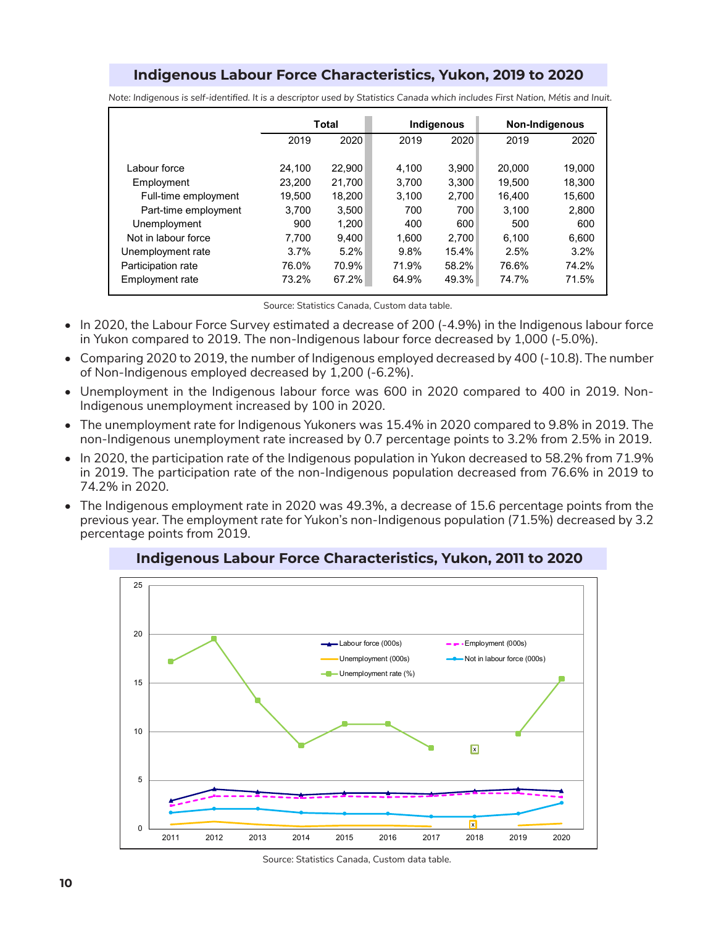# **Indigenous Labour Force Characteristics, Yukon, 2019 to 2020**

|                      |         | Total  |       | Indigenous |        | Non-Indigenous |
|----------------------|---------|--------|-------|------------|--------|----------------|
|                      | 2019    | 2020   | 2019  | 2020       | 2019   | 2020           |
|                      |         |        |       |            |        |                |
| Labour force         | 24.100  | 22,900 | 4.100 | 3,900      | 20,000 | 19.000         |
| Employment           | 23.200  | 21,700 | 3.700 | 3,300      | 19.500 | 18,300         |
| Full-time employment | 19.500  | 18.200 | 3.100 | 2,700      | 16.400 | 15,600         |
| Part-time employment | 3.700   | 3,500  | 700   | 700        | 3.100  | 2,800          |
| Unemployment         | 900     | 1.200  | 400   | 600        | 500    | 600            |
| Not in labour force  | 7.700   | 9.400  | 1.600 | 2.700      | 6.100  | 6,600          |
| Unemployment rate    | $3.7\%$ | 5.2%   | 9.8%  | 15.4%      | 2.5%   | 3.2%           |
| Participation rate   | 76.0%   | 70.9%  | 71.9% | 58.2%      | 76.6%  | 74.2%          |
| Employment rate      | 73.2%   | 67.2%  | 64.9% | 49.3%      | 74.7%  | 71.5%          |

*Note: Indigenous is self-identified. It is a descriptor used by Statistics Canada which includes First Nation, Métis and Inuit.*

Source: Statistics Canada, Custom data table.

- In 2020, the Labour Force Survey estimated a decrease of 200 (-4.9%) in the Indigenous labour force in Yukon compared to 2019. The non-Indigenous labour force decreased by 1,000 (-5.0%).
- Comparing 2020 to 2019, the number of Indigenous employed decreased by 400 (-10.8). The number of Non-Indigenous employed decreased by 1,200 (-6.2%).
- Unemployment in the Indigenous labour force was 600 in 2020 compared to 400 in 2019. Non-Indigenous unemployment increased by 100 in 2020.
- The unemployment rate for Indigenous Yukoners was 15.4% in 2020 compared to 9.8% in 2019. The non-Indigenous unemployment rate increased by 0.7 percentage points to 3.2% from 2.5% in 2019.
- In 2020, the participation rate of the Indigenous population in Yukon decreased to 58.2% from 71.9% in 2019. The participation rate of the non-Indigenous population decreased from 76.6% in 2019 to 74.2% in 2020.
- The Indigenous employment rate in 2020 was 49.3%, a decrease of 15.6 percentage points from the previous year. The employment rate for Yukon's non-Indigenous population (71.5%) decreased by 3.2 percentage points from 2019.



**Indigenous Labour Force Characteristics, Yukon, 2011 to 2020**

Source: Statistics Canada, Custom data table.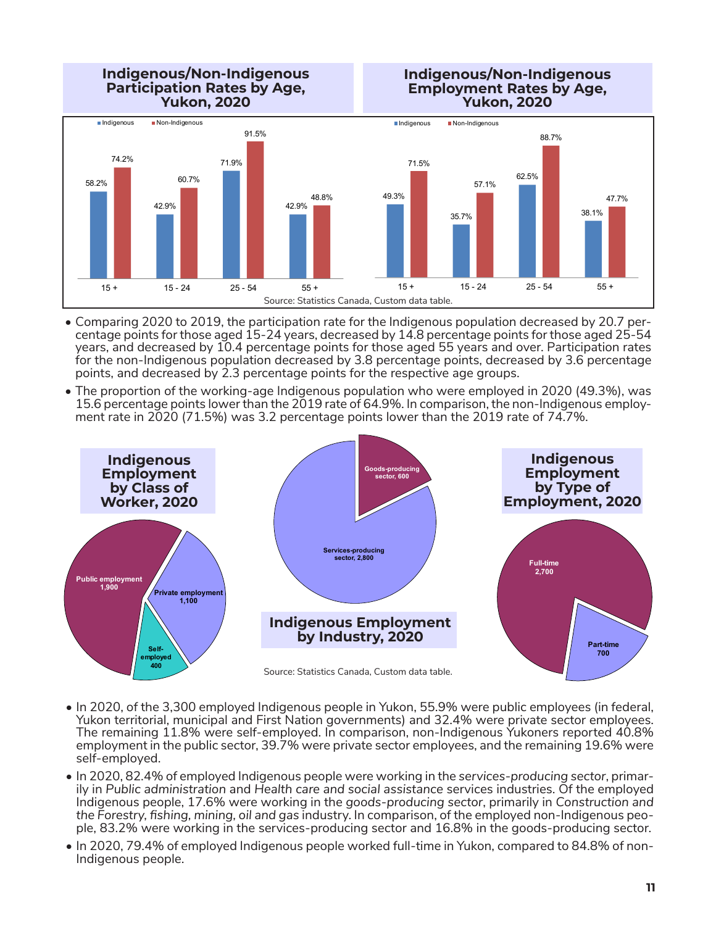**Indigenous/Non-Indigenous Participation Rates by Age, Yukon, 2020 Indigenous/Non-Indigenous Employment Rates by Age, Yukon, 2020** Source: Statistics Canada, Custom data table. 58.2% 42.9% 71.9% 42.9% 74.2% 60.7% 91.5% 48.8% 15 + 15 - 24 25 - 54 55 + Indigenous **Non-Indigenous** 49.3% 35.7% 62.5% 38.1% 71.5% 57.1% 88.7% 47.7% 15 + 15 - 24 25 - 54 55 + Indigenous **Non-Indigenous** 

- Comparing 2020 to 2019, the participation rate for the Indigenous population decreased by 20.7 percentage points for those aged 15-24 years, decreased by 14.8 percentage points for those aged 25-54 years, and decreased by 10.4 percentage points for those aged 55 years and over. Participation rates for the non-Indigenous population decreased by 3.8 percentage points, decreased by 3.6 percentage points, and decreased by 2.3 percentage points for the respective age groups.
- The proportion of the working-age Indigenous population who were employed in 2020 (49.3%), was 15.6 percentage points lower than the 2019 rate of 64.9%. In comparison, the non-Indigenous employ- ment rate in 2020 (71.5%) was 3.2 percentage points lower than the 2019 rate of 74.7%.



- In 2020, of the 3,300 employed Indigenous people in Yukon, 55.9% were public employees (in federal, Yukon territorial, municipal and First Nation governments) and 32.4% were private sector employees. The remaining 11.8% were self-employed. In comparison, non-Indigenous Yukoners reported 40.8% employment in the public sector, 39.7% were private sector employees, and the remaining 19.6% were self-employed.
- In 2020, 82.4% of employed Indigenous people were working in the *services-producing sector*, primarily in *Public administration* and *Health care and social assistance* services industries. Of the employed Indigenous people, 17.6% were working in the *goods-producing sector*, primarily in *Construction and the Forestry, fishing, mining, oil and gas* industry. In comparison, of the employed non-Indigenous people, 83.2% were working in the services-producing sector and 16.8% in the goods-producing sector.
- In 2020, 79.4% of employed Indigenous people worked full-time in Yukon, compared to 84.8% of non-Indigenous people.